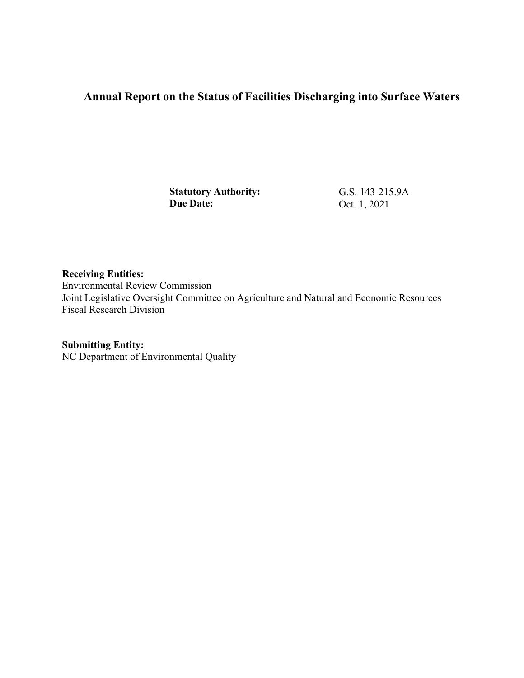# **Annual Report on the Status of Facilities Discharging into Surface Waters**

**Statutory Authority: Due Date:** 

G.S. 143-215.9A Oct. 1, 2021

**Receiving Entities:**  Environmental Review Commission Joint Legislative Oversight Committee on Agriculture and Natural and Economic Resources Fiscal Research Division

**Submitting Entity:** 

NC Department of Environmental Quality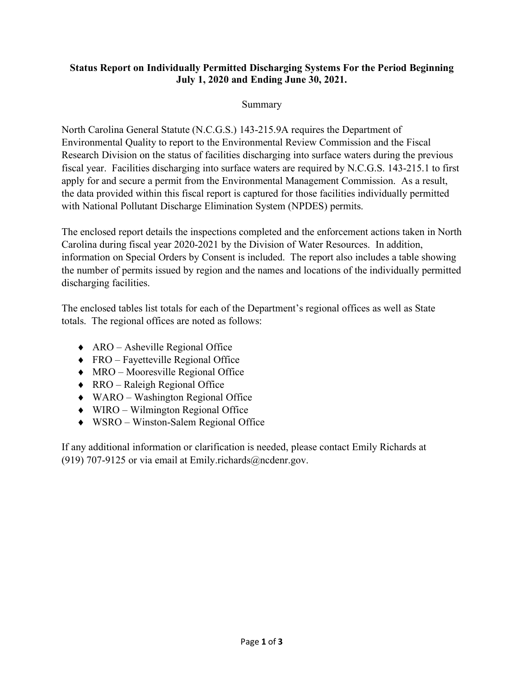#### **Status Report on Individually Permitted Discharging Systems For the Period Beginning July 1, 2020 and Ending June 30, 2021.**

### Summary

North Carolina General Statute (N.C.G.S.) 143-215.9A requires the Department of Environmental Quality to report to the Environmental Review Commission and the Fiscal Research Division on the status of facilities discharging into surface waters during the previous fiscal year. Facilities discharging into surface waters are required by N.C.G.S. 143-215.1 to first apply for and secure a permit from the Environmental Management Commission. As a result, the data provided within this fiscal report is captured for those facilities individually permitted with National Pollutant Discharge Elimination System (NPDES) permits.

The enclosed report details the inspections completed and the enforcement actions taken in North Carolina during fiscal year 2020-2021 by the Division of Water Resources. In addition, information on Special Orders by Consent is included. The report also includes a table showing the number of permits issued by region and the names and locations of the individually permitted discharging facilities.

The enclosed tables list totals for each of the Department's regional offices as well as State totals. The regional offices are noted as follows:

- $\triangle$  ARO Asheville Regional Office
- ♦ FRO Fayetteville Regional Office
- ♦ MRO Mooresville Regional Office
- ♦ RRO Raleigh Regional Office
- ♦ WARO Washington Regional Office
- ♦ WIRO Wilmington Regional Office
- ♦ WSRO Winston-Salem Regional Office

If any additional information or clarification is needed, please contact Emily Richards at (919) 707-9125 or via email at Emily.richards@ncdenr.gov.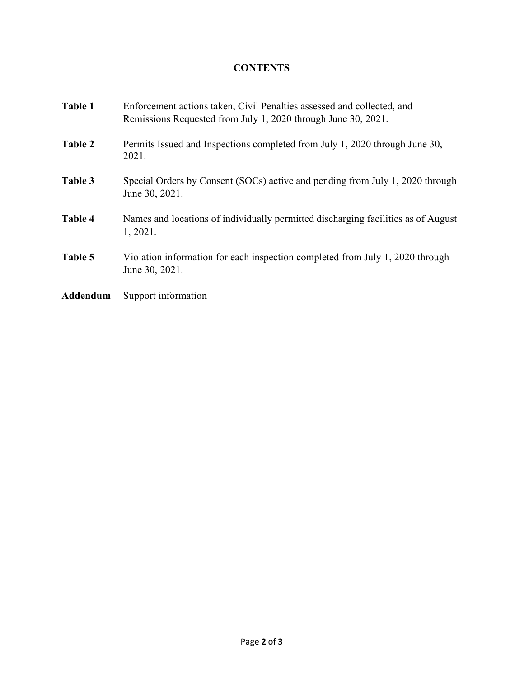## **CONTENTS**

| Table 1  | Enforcement actions taken, Civil Penalties assessed and collected, and<br>Remissions Requested from July 1, 2020 through June 30, 2021. |
|----------|-----------------------------------------------------------------------------------------------------------------------------------------|
| Table 2  | Permits Issued and Inspections completed from July 1, 2020 through June 30,<br>2021.                                                    |
| Table 3  | Special Orders by Consent (SOCs) active and pending from July 1, 2020 through<br>June 30, 2021.                                         |
| Table 4  | Names and locations of individually permitted discharging facilities as of August<br>1, 2021.                                           |
| Table 5  | Violation information for each inspection completed from July 1, 2020 through<br>June 30, 2021.                                         |
| Addendum | Support information                                                                                                                     |